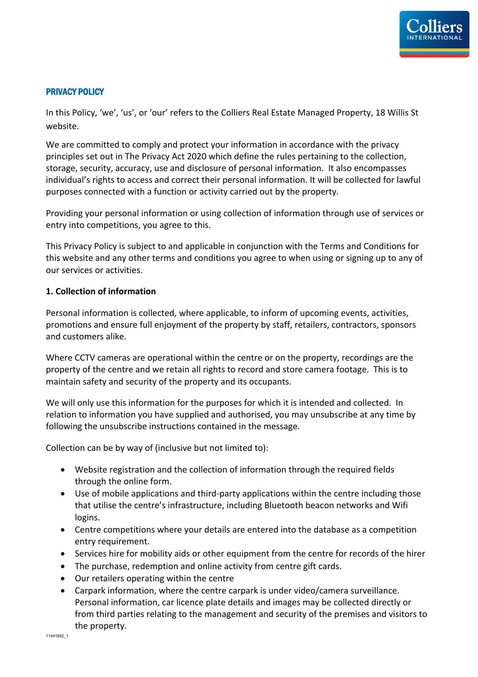

#### PRIVACY POLICY

In this Policy, 'we', 'us', or 'our' refers to the Colliers Real Estate Managed Property, 18 Willis St website.

We are committed to comply and protect your information in accordance with the privacy principles set out in The Privacy Act 2020 which define the rules pertaining to the collection, storage, security, accuracy, use and disclosure of personal information. It also encompasses individual's rights to access and correct their personal information. It will be collected for lawful purposes connected with a function or activity carried out by the property.

Providing your personal information or using collection of information through use of services or entry into competitions, you agree to this.

This Privacy Policy is subject to and applicable in conjunction with the Terms and Conditions for this website and any other terms and conditions you agree to when using or signing up to any of our services or activities.

#### **1. Collection of information**

Personal information is collected, where applicable, to inform of upcoming events, activities, promotions and ensure full enjoyment of the property by staff, retailers, contractors, sponsors and customers alike.

Where CCTV cameras are operational within the centre or on the property, recordings are the property of the centre and we retain all rights to record and store camera footage. This is to maintain safety and security of the property and its occupants.

We will only use this information for the purposes for which it is intended and collected. In relation to information you have supplied and authorised, you may unsubscribe at any time by following the unsubscribe instructions contained in the message.

Collection can be by way of (inclusive but not limited to):

- Website registration and the collection of information through the required fields through the online form.
- Use of mobile applications and third-party applications within the centre including those that utilise the centre's infrastructure, including Bluetooth beacon networks and Wifi logins.
- Centre competitions where your details are entered into the database as a competition entry requirement.
- Services hire for mobility aids or other equipment from the centre for records of the hirer
- The purchase, redemption and online activity from centre gift cards.
- Our retailers operating within the centre
- Carpark information, where the centre carpark is under video/camera surveillance. Personal information, car licence plate details and images may be collected directly or from third parties relating to the management and security of the premises and visitors to the property.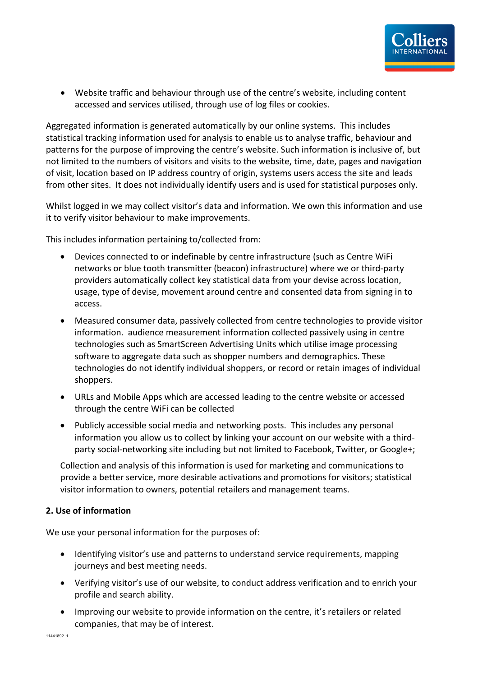• Website traffic and behaviour through use of the centre's website, including content accessed and services utilised, through use of log files or cookies.

Aggregated information is generated automatically by our online systems. This includes statistical tracking information used for analysis to enable us to analyse traffic, behaviour and patterns for the purpose of improving the centre's website. Such information is inclusive of, but not limited to the numbers of visitors and visits to the website, time, date, pages and navigation of visit, location based on IP address country of origin, systems users access the site and leads from other sites. It does not individually identify users and is used for statistical purposes only.

Whilst logged in we may collect visitor's data and information. We own this information and use it to verify visitor behaviour to make improvements.

This includes information pertaining to/collected from:

- Devices connected to or indefinable by centre infrastructure (such as Centre WiFi networks or blue tooth transmitter (beacon) infrastructure) where we or third-party providers automatically collect key statistical data from your devise across location, usage, type of devise, movement around centre and consented data from signing in to access.
- Measured consumer data, passively collected from centre technologies to provide visitor information. audience measurement information collected passively using in centre technologies such as SmartScreen Advertising Units which utilise image processing software to aggregate data such as shopper numbers and demographics. These technologies do not identify individual shoppers, or record or retain images of individual shoppers.
- URLs and Mobile Apps which are accessed leading to the centre website or accessed through the centre WiFi can be collected
- Publicly accessible social media and networking posts. This includes any personal information you allow us to collect by linking your account on our website with a thirdparty social-networking site including but not limited to Facebook, Twitter, or Google+;

Collection and analysis of this information is used for marketing and communications to provide a better service, more desirable activations and promotions for visitors; statistical visitor information to owners, potential retailers and management teams.

# **2. Use of information**

We use your personal information for the purposes of:

- Identifying visitor's use and patterns to understand service requirements, mapping journeys and best meeting needs.
- Verifying visitor's use of our website, to conduct address verification and to enrich your profile and search ability.
- Improving our website to provide information on the centre, it's retailers or related companies, that may be of interest.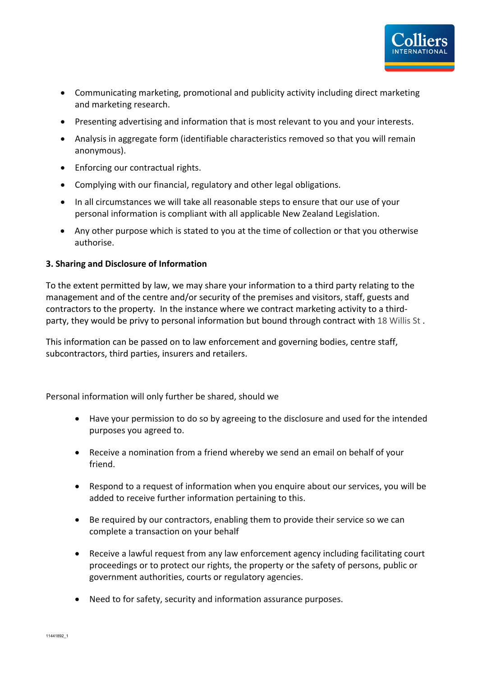- Communicating marketing, promotional and publicity activity including direct marketing and marketing research.
- Presenting advertising and information that is most relevant to you and your interests.
- Analysis in aggregate form (identifiable characteristics removed so that you will remain anonymous).
- Enforcing our contractual rights.
- Complying with our financial, regulatory and other legal obligations.
- In all circumstances we will take all reasonable steps to ensure that our use of your personal information is compliant with all applicable New Zealand Legislation.
- Any other purpose which is stated to you at the time of collection or that you otherwise authorise.

#### **3. Sharing and Disclosure of Information**

To the extent permitted by law, we may share your information to a third party relating to the management and of the centre and/or security of the premises and visitors, staff, guests and contractors to the property. In the instance where we contract marketing activity to a thirdparty, they would be privy to personal information but bound through contract with 18 Willis St.

This information can be passed on to law enforcement and governing bodies, centre staff, subcontractors, third parties, insurers and retailers.

Personal information will only further be shared, should we

- Have your permission to do so by agreeing to the disclosure and used for the intended purposes you agreed to.
- Receive a nomination from a friend whereby we send an email on behalf of your friend.
- Respond to a request of information when you enquire about our services, you will be added to receive further information pertaining to this.
- Be required by our contractors, enabling them to provide their service so we can complete a transaction on your behalf
- Receive a lawful request from any law enforcement agency including facilitating court proceedings or to protect our rights, the property or the safety of persons, public or government authorities, courts or regulatory agencies.
- Need to for safety, security and information assurance purposes.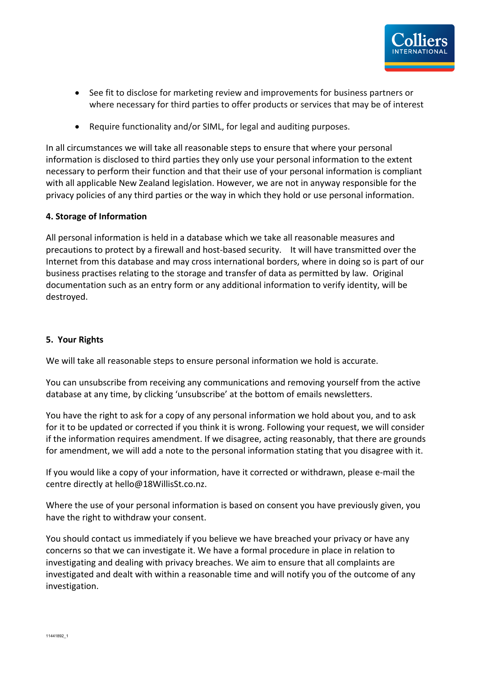- See fit to disclose for marketing review and improvements for business partners or where necessary for third parties to offer products or services that may be of interest
- Require functionality and/or SIML, for legal and auditing purposes.

In all circumstances we will take all reasonable steps to ensure that where your personal information is disclosed to third parties they only use your personal information to the extent necessary to perform their function and that their use of your personal information is compliant with all applicable New Zealand legislation. However, we are not in anyway responsible for the privacy policies of any third parties or the way in which they hold or use personal information.

### **4. Storage of Information**

All personal information is held in a database which we take all reasonable measures and precautions to protect by a firewall and host-based security. It will have transmitted over the Internet from this database and may cross international borders, where in doing so is part of our business practises relating to the storage and transfer of data as permitted by law. Original documentation such as an entry form or any additional information to verify identity, will be destroyed.

## **5. Your Rights**

We will take all reasonable steps to ensure personal information we hold is accurate.

You can unsubscribe from receiving any communications and removing yourself from the active database at any time, by clicking 'unsubscribe' at the bottom of emails newsletters.

You have the right to ask for a copy of any personal information we hold about you, and to ask for it to be updated or corrected if you think it is wrong. Following your request, we will consider if the information requires amendment. If we disagree, acting reasonably, that there are grounds for amendment, we will add a note to the personal information stating that you disagree with it.

If you would like a copy of your information, have it corrected or withdrawn, please e-mail the centre directly at hello@18WillisSt.co.nz.

Where the use of your personal information is based on consent you have previously given, you have the right to withdraw your consent.

You should contact us immediately if you believe we have breached your privacy or have any concerns so that we can investigate it. We have a formal procedure in place in relation to investigating and dealing with privacy breaches. We aim to ensure that all complaints are investigated and dealt with within a reasonable time and will notify you of the outcome of any investigation.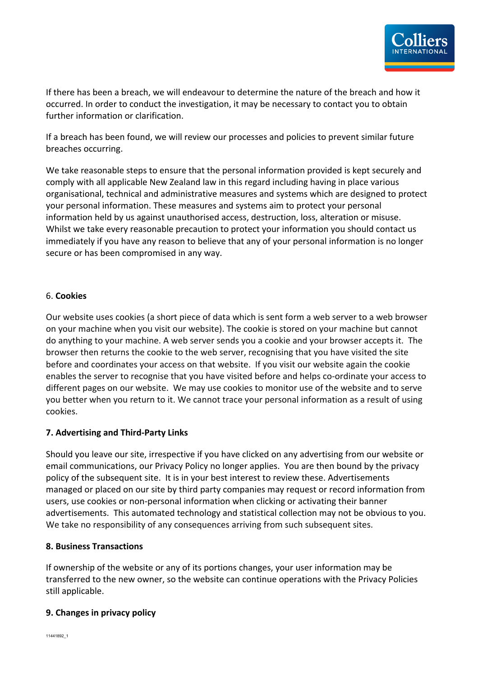

If there has been a breach, we will endeavour to determine the nature of the breach and how it occurred. In order to conduct the investigation, it may be necessary to contact you to obtain further information or clarification.

If a breach has been found, we will review our processes and policies to prevent similar future breaches occurring.

We take reasonable steps to ensure that the personal information provided is kept securely and comply with all applicable New Zealand law in this regard including having in place various organisational, technical and administrative measures and systems which are designed to protect your personal information. These measures and systems aim to protect your personal information held by us against unauthorised access, destruction, loss, alteration or misuse. Whilst we take every reasonable precaution to protect your information you should contact us immediately if you have any reason to believe that any of your personal information is no longer secure or has been compromised in any way.

### 6. **Cookies**

Our website uses cookies (a short piece of data which is sent form a web server to a web browser on your machine when you visit our website). The cookie is stored on your machine but cannot do anything to your machine. A web server sends you a cookie and your browser accepts it. The browser then returns the cookie to the web server, recognising that you have visited the site before and coordinates your access on that website. If you visit our website again the cookie enables the server to recognise that you have visited before and helps co-ordinate your access to different pages on our website. We may use cookies to monitor use of the website and to serve you better when you return to it. We cannot trace your personal information as a result of using cookies.

# **7. Advertising and Third-Party Links**

Should you leave our site, irrespective if you have clicked on any advertising from our website or email communications, our Privacy Policy no longer applies. You are then bound by the privacy policy of the subsequent site. It is in your best interest to review these. Advertisements managed or placed on our site by third party companies may request or record information from users, use cookies or non-personal information when clicking or activating their banner advertisements. This automated technology and statistical collection may not be obvious to you. We take no responsibility of any consequences arriving from such subsequent sites.

#### **8. Business Transactions**

If ownership of the website or any of its portions changes, your user information may be transferred to the new owner, so the website can continue operations with the Privacy Policies still applicable.

# **9. Changes in privacy policy**